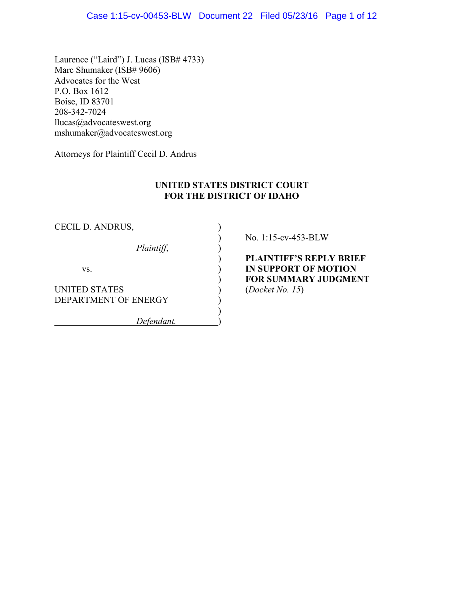Laurence ("Laird") J. Lucas (ISB# 4733) Marc Shumaker (ISB# 9606) Advocates for the West P.O. Box 1612 Boise, ID 83701 208-342-7024 llucas@advocateswest.org mshumaker@advocateswest.org

Attorneys for Plaintiff Cecil D. Andrus

## **UNITED STATES DISTRICT COURT FOR THE DISTRICT OF IDAHO**

| CECIL D. ANDRUS,                             |  |
|----------------------------------------------|--|
| Plaintiff,                                   |  |
| VS.                                          |  |
| <b>UNITED STATES</b><br>DEPARTMENT OF ENERGY |  |
| Defendant.                                   |  |

) No. 1:15-cv-453-BLW

) **PLAINTIFF'S REPLY BRIEF IN SUPPORT OF MOTION** ) **FOR SUMMARY JUDGMENT** (*Docket No. 15*)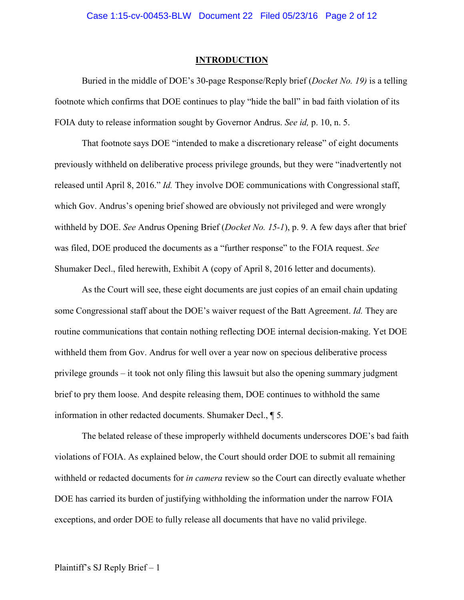#### **INTRODUCTION**

Buried in the middle of DOE's 30-page Response/Reply brief (*Docket No. 19)* is a telling footnote which confirms that DOE continues to play "hide the ball" in bad faith violation of its FOIA duty to release information sought by Governor Andrus. *See id,* p. 10, n. 5.

That footnote says DOE "intended to make a discretionary release" of eight documents previously withheld on deliberative process privilege grounds, but they were "inadvertently not released until April 8, 2016." *Id.* They involve DOE communications with Congressional staff, which Gov. Andrus's opening brief showed are obviously not privileged and were wrongly withheld by DOE. *See* Andrus Opening Brief (*Docket No. 15-1*), p. 9. A few days after that brief was filed, DOE produced the documents as a "further response" to the FOIA request. *See* Shumaker Decl., filed herewith, Exhibit A (copy of April 8, 2016 letter and documents).

As the Court will see, these eight documents are just copies of an email chain updating some Congressional staff about the DOE's waiver request of the Batt Agreement. *Id.* They are routine communications that contain nothing reflecting DOE internal decision-making. Yet DOE withheld them from Gov. Andrus for well over a year now on specious deliberative process privilege grounds – it took not only filing this lawsuit but also the opening summary judgment brief to pry them loose. And despite releasing them, DOE continues to withhold the same information in other redacted documents. Shumaker Decl., ¶ 5.

The belated release of these improperly withheld documents underscores DOE's bad faith violations of FOIA. As explained below, the Court should order DOE to submit all remaining withheld or redacted documents for *in camera* review so the Court can directly evaluate whether DOE has carried its burden of justifying withholding the information under the narrow FOIA exceptions, and order DOE to fully release all documents that have no valid privilege.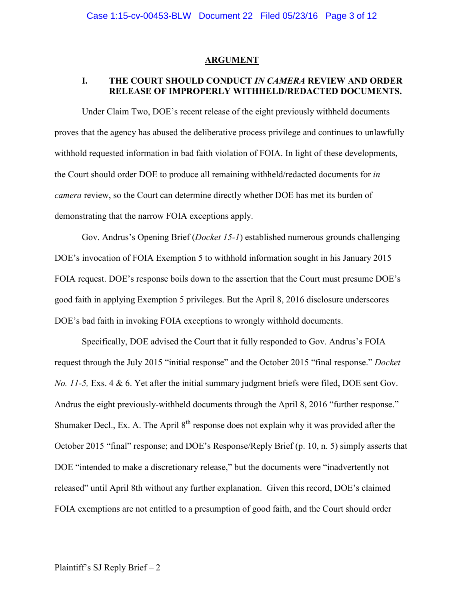#### **ARGUMENT**

# **I. THE COURT SHOULD CONDUCT** *IN CAMERA* **REVIEW AND ORDER RELEASE OF IMPROPERLY WITHHELD/REDACTED DOCUMENTS.**

Under Claim Two, DOE's recent release of the eight previously withheld documents proves that the agency has abused the deliberative process privilege and continues to unlawfully withhold requested information in bad faith violation of FOIA. In light of these developments, the Court should order DOE to produce all remaining withheld/redacted documents for *in camera* review, so the Court can determine directly whether DOE has met its burden of demonstrating that the narrow FOIA exceptions apply.

Gov. Andrus's Opening Brief (*Docket 15-1*) established numerous grounds challenging DOE's invocation of FOIA Exemption 5 to withhold information sought in his January 2015 FOIA request. DOE's response boils down to the assertion that the Court must presume DOE's good faith in applying Exemption 5 privileges. But the April 8, 2016 disclosure underscores DOE's bad faith in invoking FOIA exceptions to wrongly withhold documents.

Specifically, DOE advised the Court that it fully responded to Gov. Andrus's FOIA request through the July 2015 "initial response" and the October 2015 "final response." *Docket No. 11-5, Exs. 4 & 6. Yet after the initial summary judgment briefs were filed, DOE sent Gov.* Andrus the eight previously-withheld documents through the April 8, 2016 "further response." Shumaker Decl., Ex. A. The April  $8<sup>th</sup>$  response does not explain why it was provided after the October 2015 "final" response; and DOE's Response/Reply Brief (p. 10, n. 5) simply asserts that DOE "intended to make a discretionary release," but the documents were "inadvertently not released" until April 8th without any further explanation. Given this record, DOE's claimed FOIA exemptions are not entitled to a presumption of good faith, and the Court should order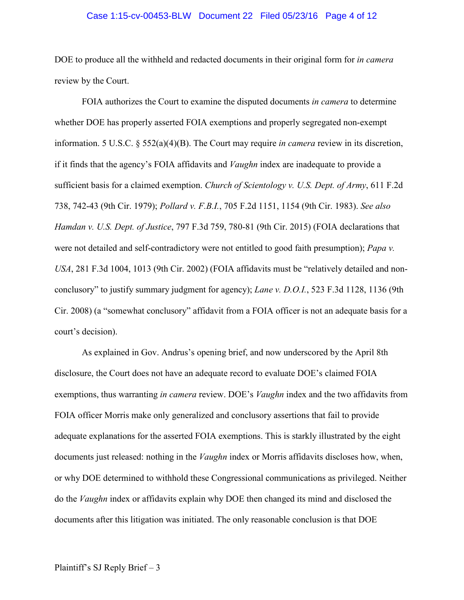#### Case 1:15-cv-00453-BLW Document 22 Filed 05/23/16 Page 4 of 12

DOE to produce all the withheld and redacted documents in their original form for *in camera* review by the Court.

FOIA authorizes the Court to examine the disputed documents *in camera* to determine whether DOE has properly asserted FOIA exemptions and properly segregated non-exempt information. 5 U.S.C. § 552(a)(4)(B). The Court may require *in camera* review in its discretion, if it finds that the agency's FOIA affidavits and *Vaughn* index are inadequate to provide a sufficient basis for a claimed exemption. *Church of Scientology v. U.S. Dept. of Army*, 611 F.2d 738, 742-43 (9th Cir. 1979); *Pollard v. F.B.I.*, 705 F.2d 1151, 1154 (9th Cir. 1983). *See also Hamdan v. U.S. Dept. of Justice*, 797 F.3d 759, 780-81 (9th Cir. 2015) (FOIA declarations that were not detailed and self-contradictory were not entitled to good faith presumption); *Papa v. USA*, 281 F.3d 1004, 1013 (9th Cir. 2002) (FOIA affidavits must be "relatively detailed and nonconclusory" to justify summary judgment for agency); *Lane v. D.O.I.*, 523 F.3d 1128, 1136 (9th Cir. 2008) (a "somewhat conclusory" affidavit from a FOIA officer is not an adequate basis for a court's decision).

As explained in Gov. Andrus's opening brief, and now underscored by the April 8th disclosure, the Court does not have an adequate record to evaluate DOE's claimed FOIA exemptions, thus warranting *in camera* review. DOE's *Vaughn* index and the two affidavits from FOIA officer Morris make only generalized and conclusory assertions that fail to provide adequate explanations for the asserted FOIA exemptions. This is starkly illustrated by the eight documents just released: nothing in the *Vaughn* index or Morris affidavits discloses how, when, or why DOE determined to withhold these Congressional communications as privileged. Neither do the *Vaughn* index or affidavits explain why DOE then changed its mind and disclosed the documents after this litigation was initiated. The only reasonable conclusion is that DOE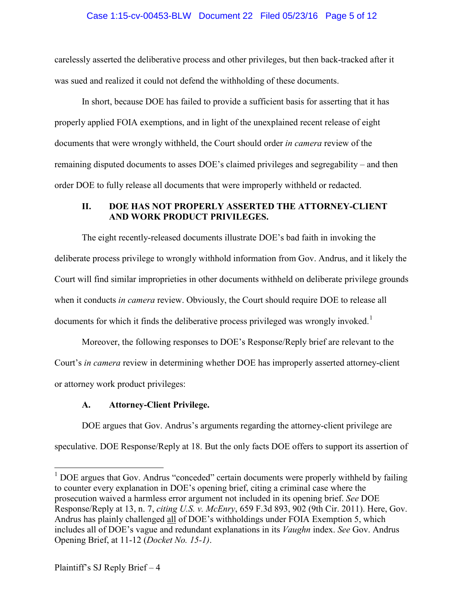### Case 1:15-cv-00453-BLW Document 22 Filed 05/23/16 Page 5 of 12

carelessly asserted the deliberative process and other privileges, but then back-tracked after it was sued and realized it could not defend the withholding of these documents.

In short, because DOE has failed to provide a sufficient basis for asserting that it has properly applied FOIA exemptions, and in light of the unexplained recent release of eight documents that were wrongly withheld, the Court should order *in camera* review of the remaining disputed documents to asses DOE's claimed privileges and segregability – and then order DOE to fully release all documents that were improperly withheld or redacted.

## **II. DOE HAS NOT PROPERLY ASSERTED THE ATTORNEY-CLIENT AND WORK PRODUCT PRIVILEGES.**

The eight recently-released documents illustrate DOE's bad faith in invoking the deliberate process privilege to wrongly withhold information from Gov. Andrus, and it likely the Court will find similar improprieties in other documents withheld on deliberate privilege grounds when it conducts *in camera* review. Obviously, the Court should require DOE to release all documents for which it finds the deliberative process privileged was wrongly invoked.<sup>[1](#page-4-0)</sup>

Moreover, the following responses to DOE's Response/Reply brief are relevant to the Court's *in camera* review in determining whether DOE has improperly asserted attorney-client or attorney work product privileges:

# **A. Attorney-Client Privilege.**

DOE argues that Gov. Andrus's arguments regarding the attorney-client privilege are speculative. DOE Response/Reply at 18. But the only facts DOE offers to support its assertion of

<span id="page-4-0"></span> $<sup>1</sup>$  DOE argues that Gov. Andrus "conceded" certain documents were properly withheld by failing</sup> to counter every explanation in DOE's opening brief, citing a criminal case where the prosecution waived a harmless error argument not included in its opening brief. *See* DOE Response/Reply at 13, n. 7, *citing U.S. v. McEnry*, 659 F.3d 893, 902 (9th Cir. 2011). Here, Gov. Andrus has plainly challenged all of DOE's withholdings under FOIA Exemption 5, which includes all of DOE's vague and redundant explanations in its *Vaughn* index. *See* Gov. Andrus Opening Brief, at 11-12 (*Docket No. 15-1)*.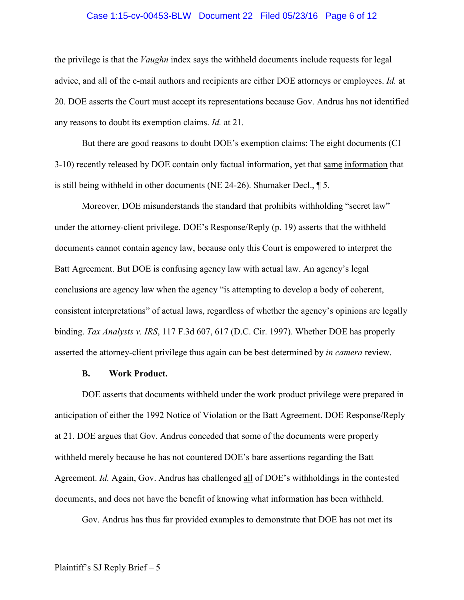#### Case 1:15-cv-00453-BLW Document 22 Filed 05/23/16 Page 6 of 12

the privilege is that the *Vaughn* index says the withheld documents include requests for legal advice, and all of the e-mail authors and recipients are either DOE attorneys or employees. *Id.* at 20. DOE asserts the Court must accept its representations because Gov. Andrus has not identified any reasons to doubt its exemption claims. *Id.* at 21.

But there are good reasons to doubt DOE's exemption claims: The eight documents (CI 3-10) recently released by DOE contain only factual information, yet that same information that is still being withheld in other documents (NE 24-26). Shumaker Decl., ¶ 5.

Moreover, DOE misunderstands the standard that prohibits withholding "secret law" under the attorney-client privilege. DOE's Response/Reply (p. 19) asserts that the withheld documents cannot contain agency law, because only this Court is empowered to interpret the Batt Agreement. But DOE is confusing agency law with actual law. An agency's legal conclusions are agency law when the agency "is attempting to develop a body of coherent, consistent interpretations" of actual laws, regardless of whether the agency's opinions are legally binding. *Tax Analysts v. IRS*, 117 F.3d 607, 617 (D.C. Cir. 1997). Whether DOE has properly asserted the attorney-client privilege thus again can be best determined by *in camera* review.

### **B. Work Product.**

DOE asserts that documents withheld under the work product privilege were prepared in anticipation of either the 1992 Notice of Violation or the Batt Agreement. DOE Response/Reply at 21. DOE argues that Gov. Andrus conceded that some of the documents were properly withheld merely because he has not countered DOE's bare assertions regarding the Batt Agreement. *Id.* Again, Gov. Andrus has challenged all of DOE's withholdings in the contested documents, and does not have the benefit of knowing what information has been withheld.

Gov. Andrus has thus far provided examples to demonstrate that DOE has not met its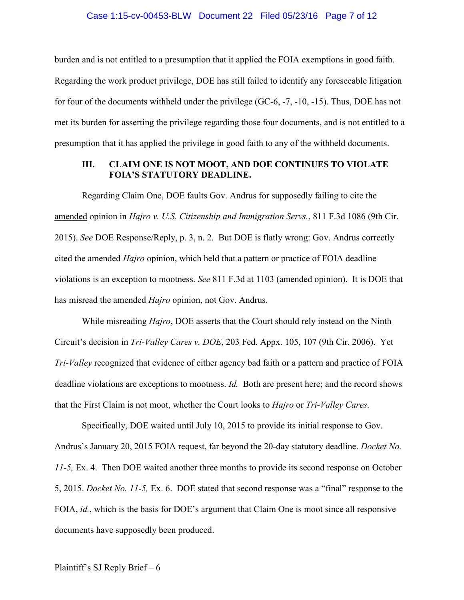#### Case 1:15-cv-00453-BLW Document 22 Filed 05/23/16 Page 7 of 12

burden and is not entitled to a presumption that it applied the FOIA exemptions in good faith. Regarding the work product privilege, DOE has still failed to identify any foreseeable litigation for four of the documents withheld under the privilege (GC-6, -7, -10, -15). Thus, DOE has not met its burden for asserting the privilege regarding those four documents, and is not entitled to a presumption that it has applied the privilege in good faith to any of the withheld documents.

## **III. CLAIM ONE IS NOT MOOT, AND DOE CONTINUES TO VIOLATE FOIA'S STATUTORY DEADLINE.**

Regarding Claim One, DOE faults Gov. Andrus for supposedly failing to cite the amended opinion in *Hajro v. U.S. Citizenship and Immigration Servs.*, 811 F.3d 1086 (9th Cir. 2015). *See* DOE Response/Reply, p. 3, n. 2. But DOE is flatly wrong: Gov. Andrus correctly cited the amended *Hajro* opinion, which held that a pattern or practice of FOIA deadline violations is an exception to mootness. *See* 811 F.3d at 1103 (amended opinion). It is DOE that has misread the amended *Hajro* opinion, not Gov. Andrus.

While misreading *Hajro*, DOE asserts that the Court should rely instead on the Ninth Circuit's decision in *Tri-Valley Cares v. DOE*, 203 Fed. Appx. 105, 107 (9th Cir. 2006). Yet *Tri-Valley* recognized that evidence of either agency bad faith or a pattern and practice of FOIA deadline violations are exceptions to mootness. *Id.* Both are present here; and the record shows that the First Claim is not moot, whether the Court looks to *Hajro* or *Tri-Valley Cares*.

Specifically, DOE waited until July 10, 2015 to provide its initial response to Gov. Andrus's January 20, 2015 FOIA request, far beyond the 20-day statutory deadline. *Docket No. 11-5,* Ex. 4. Then DOE waited another three months to provide its second response on October 5, 2015. *Docket No. 11-5,* Ex. 6. DOE stated that second response was a "final" response to the FOIA, *id.*, which is the basis for DOE's argument that Claim One is moot since all responsive documents have supposedly been produced.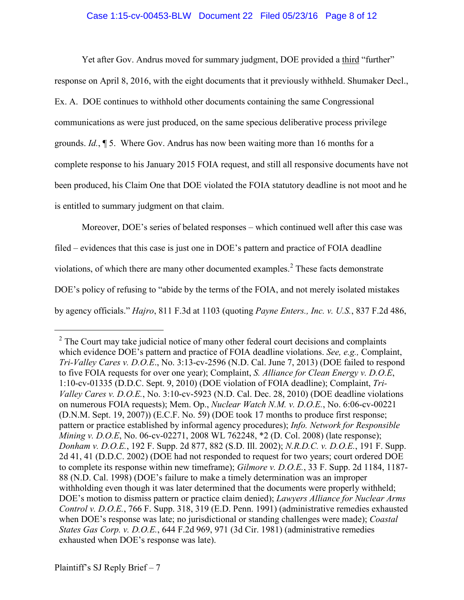### Case 1:15-cv-00453-BLW Document 22 Filed 05/23/16 Page 8 of 12

Yet after Gov. Andrus moved for summary judgment, DOE provided a third "further"

response on April 8, 2016, with the eight documents that it previously withheld. Shumaker Decl.,

Ex. A. DOE continues to withhold other documents containing the same Congressional

communications as were just produced, on the same specious deliberative process privilege

grounds. *Id.*, ¶ 5. Where Gov. Andrus has now been waiting more than 16 months for a

complete response to his January 2015 FOIA request, and still all responsive documents have not

been produced, his Claim One that DOE violated the FOIA statutory deadline is not moot and he

is entitled to summary judgment on that claim.

Moreover, DOE's series of belated responses – which continued well after this case was

filed – evidences that this case is just one in DOE's pattern and practice of FOIA deadline

violations, of which there are many other documented examples.<sup>[2](#page-7-0)</sup> These facts demonstrate

DOE's policy of refusing to "abide by the terms of the FOIA, and not merely isolated mistakes

by agency officials." *Hajro*, 811 F.3d at 1103 (quoting *Payne Enters., Inc. v. U.S.*, 837 F.2d 486,

<span id="page-7-0"></span> $2^2$  The Court may take judicial notice of many other federal court decisions and complaints which evidence DOE's pattern and practice of FOIA deadline violations. *See, e.g.,* Complaint, *Tri-Valley Cares v. D.O.E*., No. 3:13-cv-2596 (N.D. Cal. June 7, 2013) (DOE failed to respond to five FOIA requests for over one year); Complaint, *S. Alliance for Clean Energy v. D.O.E*, 1:10-cv-01335 (D.D.C. Sept. 9, 2010) (DOE violation of FOIA deadline); Complaint, *Tri-Valley Cares v. D.O.E.*, No. 3:10-cv-5923 (N.D. Cal. Dec. 28, 2010) (DOE deadline violations on numerous FOIA requests); Mem. Op., *Nuclear Watch N.M. v. D.O.E.*, No. 6:06-cv-00221 (D.N.M. Sept. 19, 2007)) (E.C.F. No. 59) (DOE took 17 months to produce first response; pattern or practice established by informal agency procedures); *Info. Network for Responsible Mining v. D.O.E*, No. 06-cv-02271, 2008 WL 762248, \*2 (D. Col. 2008) (late response); *Donham v. D.O.E.*, 192 F. Supp. 2d 877, 882 (S.D. Ill. 2002); *N.R.D.C. v. D.O.E.*, 191 F. Supp. 2d 41, 41 (D.D.C. 2002) (DOE had not responded to request for two years; court ordered DOE to complete its response within new timeframe); *Gilmore v. D.O.E.*, 33 F. Supp. 2d 1184, 1187- 88 (N.D. Cal. 1998) (DOE's failure to make a timely determination was an improper withholding even though it was later determined that the documents were properly withheld; DOE's motion to dismiss pattern or practice claim denied); *Lawyers Alliance for Nuclear Arms Control v. D.O.E.*, 766 F. Supp. 318, 319 (E.D. Penn. 1991) (administrative remedies exhausted when DOE's response was late; no jurisdictional or standing challenges were made); *Coastal States Gas Corp. v. D.O.E.*, 644 F.2d 969, 971 (3d Cir. 1981) (administrative remedies exhausted when DOE's response was late).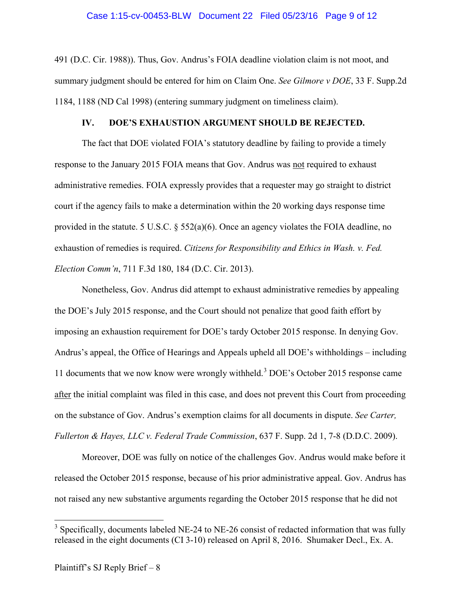## Case 1:15-cv-00453-BLW Document 22 Filed 05/23/16 Page 9 of 12

491 (D.C. Cir. 1988)). Thus, Gov. Andrus's FOIA deadline violation claim is not moot, and summary judgment should be entered for him on Claim One. *See Gilmore v DOE*, 33 F. Supp.2d 1184, 1188 (ND Cal 1998) (entering summary judgment on timeliness claim).

### **IV. DOE'S EXHAUSTION ARGUMENT SHOULD BE REJECTED.**

The fact that DOE violated FOIA's statutory deadline by failing to provide a timely response to the January 2015 FOIA means that Gov. Andrus was not required to exhaust administrative remedies. FOIA expressly provides that a requester may go straight to district court if the agency fails to make a determination within the 20 working days response time provided in the statute. 5 U.S.C.  $\S 552(a)(6)$ . Once an agency violates the FOIA deadline, no exhaustion of remedies is required. *Citizens for Responsibility and Ethics in Wash. v. Fed. Election Comm'n*, 711 F.3d 180, 184 (D.C. Cir. 2013).

Nonetheless, Gov. Andrus did attempt to exhaust administrative remedies by appealing the DOE's July 2015 response, and the Court should not penalize that good faith effort by imposing an exhaustion requirement for DOE's tardy October 2015 response. In denying Gov. Andrus's appeal, the Office of Hearings and Appeals upheld all DOE's withholdings – including 11 documents that we now know were wrongly withheld.<sup>[3](#page-8-0)</sup> DOE's October 2015 response came after the initial complaint was filed in this case, and does not prevent this Court from proceeding on the substance of Gov. Andrus's exemption claims for all documents in dispute. *See Carter, Fullerton & Hayes, LLC v. Federal Trade Commission*, 637 F. Supp. 2d 1, 7-8 (D.D.C. 2009).

Moreover, DOE was fully on notice of the challenges Gov. Andrus would make before it released the October 2015 response, because of his prior administrative appeal. Gov. Andrus has not raised any new substantive arguments regarding the October 2015 response that he did not

<span id="page-8-0"></span> $3$  Specifically, documents labeled NE-24 to NE-26 consist of redacted information that was fully released in the eight documents (CI 3-10) released on April 8, 2016. Shumaker Decl., Ex. A.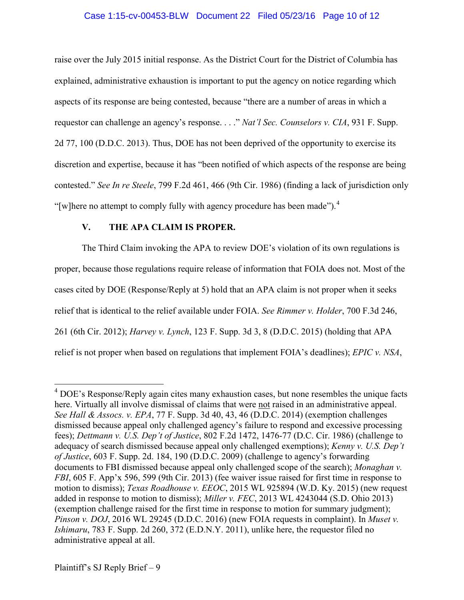## Case 1:15-cv-00453-BLW Document 22 Filed 05/23/16 Page 10 of 12

raise over the July 2015 initial response. As the District Court for the District of Columbia has explained, administrative exhaustion is important to put the agency on notice regarding which aspects of its response are being contested, because "there are a number of areas in which a requestor can challenge an agency's response. . . ." *Nat'l Sec. Counselors v. CIA*, 931 F. Supp. 2d 77, 100 (D.D.C. 2013). Thus, DOE has not been deprived of the opportunity to exercise its discretion and expertise, because it has "been notified of which aspects of the response are being contested." *See In re Steele*, 799 F.2d 461, 466 (9th Cir. 1986) (finding a lack of jurisdiction only "[w]here no attempt to comply fully with agency procedure has been made").<sup>[4](#page-9-0)</sup>

# **V. THE APA CLAIM IS PROPER.**

The Third Claim invoking the APA to review DOE's violation of its own regulations is proper, because those regulations require release of information that FOIA does not. Most of the cases cited by DOE (Response/Reply at 5) hold that an APA claim is not proper when it seeks relief that is identical to the relief available under FOIA. *See Rimmer v. Holder*, 700 F.3d 246, 261 (6th Cir. 2012); *Harvey v. Lynch*, 123 F. Supp. 3d 3, 8 (D.D.C. 2015) (holding that APA relief is not proper when based on regulations that implement FOIA's deadlines); *EPIC v. NSA*,

<span id="page-9-0"></span> $4$  DOE's Response/Reply again cites many exhaustion cases, but none resembles the unique facts here. Virtually all involve dismissal of claims that were not raised in an administrative appeal. *See Hall & Assocs. v. EPA*, 77 F. Supp. 3d 40, 43, 46 (D.D.C. 2014) (exemption challenges dismissed because appeal only challenged agency's failure to respond and excessive processing fees); *Dettmann v. U.S. Dep't of Justice*, 802 F.2d 1472, 1476-77 (D.C. Cir. 1986) (challenge to adequacy of search dismissed because appeal only challenged exemptions); *Kenny v. U.S. Dep't of Justice*, 603 F. Supp. 2d. 184, 190 (D.D.C. 2009) (challenge to agency's forwarding documents to FBI dismissed because appeal only challenged scope of the search); *Monaghan v. FBI*, 605 F. App'x 596, 599 (9th Cir. 2013) (fee waiver issue raised for first time in response to motion to dismiss); *Texas Roadhouse v. EEOC*, 2015 WL 925894 (W.D. Ky. 2015) (new request added in response to motion to dismiss); *Miller v. FEC*, 2013 WL 4243044 (S.D. Ohio 2013) (exemption challenge raised for the first time in response to motion for summary judgment); *Pinson v. DOJ*, 2016 WL 29245 (D.D.C. 2016) (new FOIA requests in complaint). In *Muset v. Ishimaru*, 783 F. Supp. 2d 260, 372 (E.D.N.Y. 2011), unlike here, the requestor filed no administrative appeal at all.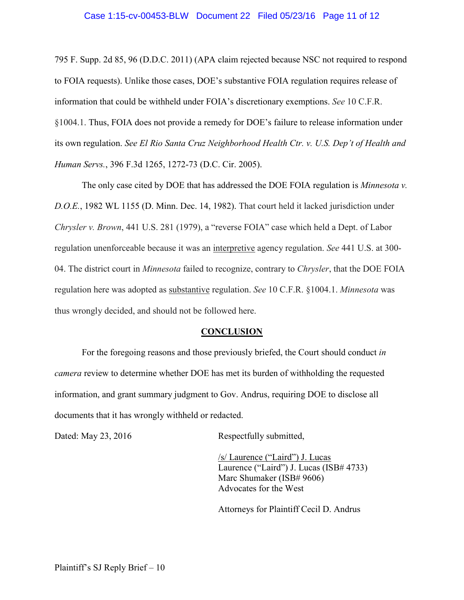795 F. Supp. 2d 85, 96 (D.D.C. 2011) (APA claim rejected because NSC not required to respond to FOIA requests). Unlike those cases, DOE's substantive FOIA regulation requires release of information that could be withheld under FOIA's discretionary exemptions. *See* 10 C.F.R. §1004.1. Thus, FOIA does not provide a remedy for DOE's failure to release information under its own regulation. *See El Rio Santa Cruz Neighborhood Health Ctr. v. U.S. Dep't of Health and Human Servs.*, 396 F.3d 1265, 1272-73 (D.C. Cir. 2005).

The only case cited by DOE that has addressed the DOE FOIA regulation is *Minnesota v. D.O.E.*, 1982 WL 1155 (D. Minn. Dec. 14, 1982). That court held it lacked jurisdiction under *Chrysler v. Brown*, 441 U.S. 281 (1979), a "reverse FOIA" case which held a Dept. of Labor regulation unenforceable because it was an interpretive agency regulation. *See* 441 U.S. at 300- 04. The district court in *Minnesota* failed to recognize, contrary to *Chrysler*, that the DOE FOIA regulation here was adopted as substantive regulation. *See* 10 C.F.R. §1004.1. *Minnesota* was thus wrongly decided, and should not be followed here.

### **CONCLUSION**

For the foregoing reasons and those previously briefed, the Court should conduct *in camera* review to determine whether DOE has met its burden of withholding the requested information, and grant summary judgment to Gov. Andrus, requiring DOE to disclose all documents that it has wrongly withheld or redacted.

Dated: May 23, 2016 Respectfully submitted,

/s/ Laurence ("Laird") J. Lucas Laurence ("Laird") J. Lucas (ISB# 4733) Marc Shumaker (ISB# 9606) Advocates for the West

Attorneys for Plaintiff Cecil D. Andrus